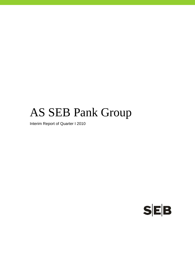# AS SEB Pank Group

Interim Report of Quarter I 2010

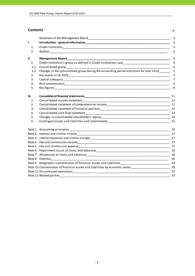#### **Contents** p.

|      |                                                                                                                                                    | $\overline{2}$ |
|------|----------------------------------------------------------------------------------------------------------------------------------------------------|----------------|
| I.   |                                                                                                                                                    | 3              |
| 1.   |                                                                                                                                                    | $\overline{3}$ |
| 2.   |                                                                                                                                                    | 3              |
| П.   | <b>Management Report</b><br><u> 1989 - Johann Barn, mars ann an t-Amhainn an t-Amhainn an t-Amhainn an t-Amhainn an t-Amhainn an t-Amhainn an </u> | 4              |
| 1.   | Credit institution's group as defined in Credit Institutions Law___________________________________                                                | $\overline{4}$ |
| 1.1. | Consolidated group<br><u> 2000 - 2000 - 2000 - 2000 - 2000 - 2000 - 2000 - 2000 - 2000 - 2000 - 2000 - 2000 - 2000 - 2000 - 2000 - 200</u>         | $\overline{4}$ |
| 1.2. | Changes in the consolidated group during the accounting period and plans for year 2010                                                             | 5              |
| 2.   |                                                                                                                                                    | 5              |
| 3.   |                                                                                                                                                    | $\overline{7}$ |
| 4.   |                                                                                                                                                    | 9              |
| 5.   |                                                                                                                                                    | 9              |
| Ш.   |                                                                                                                                                    | 11             |
| 1.   | Consolidated income statement                                                                                                                      |                |
| 2.   | Consolidated statement of comprehensive income<br><u>[11]</u> 11                                                                                   |                |
| 3.   |                                                                                                                                                    |                |
| 4.   |                                                                                                                                                    |                |
| 5.   |                                                                                                                                                    |                |
| 6.   |                                                                                                                                                    |                |
|      |                                                                                                                                                    |                |
|      |                                                                                                                                                    |                |
|      |                                                                                                                                                    |                |
|      | Note 4 Fee and commission income                                                                                                                   | 17             |
|      |                                                                                                                                                    | 17             |
|      |                                                                                                                                                    |                |
|      |                                                                                                                                                    |                |
|      | Note 8 Overdue Note 2014                                                                                                                           | 18             |
|      |                                                                                                                                                    |                |
|      | Note 10 Concentration of financial assets and liabilities by economic sector<br>20                                                                 |                |
|      |                                                                                                                                                    | 22             |
|      |                                                                                                                                                    | 23             |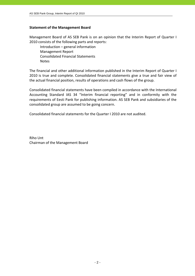# **Statement of the Management Board**

Management Board of AS SEB Pank is on an opinion that the Interim Report of Quarter I 2010 consists of the following parts and reports:

 Introduction – general information Management Report Consolidated Financial Statements **Notes** 

The financial and other additional information published in the Interim Report of Quarter I 2010 is true and complete. Consolidated financial statements give a true and fair view of the actual financial position, results of operations and cash flows of the group.

Consolidated financial statements have been compiled in accordance with the International Accounting Standard IAS 34 "Interim financial reporting" and in conformity with the requirements of Eesti Pank for publishing information. AS SEB Pank and subsidiaries of the consolidated group are assumed to be going concern.

Consolidated financial statements for the Quarter I 2010 are not audited.

Riho Unt Chairman of the Management Board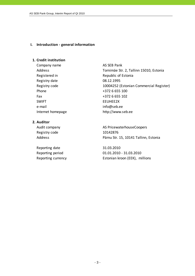## **I. Introduction ‐ general information**

# **1. Credit institution**

Company name AS SEB Pank Registered in Republic of Estonia Registry date 08.12.1995 Phone  $+372$  6 655 100 Fax +372 6 655 102 SWIFT EEUHEE2X e-mail info@seb.ee Internet homepage http://www.seb.ee

# **2. Auditor**

Registry code 10142876

Reporting date 31.03.2010

Address Tornimäe Str. 2, Tallinn 15010, Estonia Registry code 10004252 (Estonian Commercial Register)

Audit company and all the AS PricewaterhouseCoopers Address Pärnu Str. 15, 10141 Tallinn, Estonia

Reporting period 01.01.2010 ‐ 31.03.2010 Reporting currency **Estonian kroon (EEK)**, millions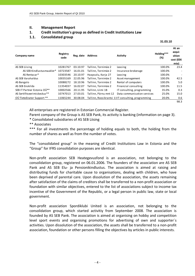# **II. Management Report**

# **1. Credit institution's group as defined in Credit Institutions Law**

# **1.1. Consolidated group**

 $31.03.10$ 

| Company name                 | Registry<br>code | Reg. date | <b>Address</b>        | Activity                                           | Holding***<br>(%) | At an<br>acqui-<br>sition<br>cost (EEK<br>mio) |
|------------------------------|------------------|-----------|-----------------------|----------------------------------------------------|-------------------|------------------------------------------------|
| AS SEB Liising               | 10281767         | 03.10.97  | Tallinn, Tornimäe 2   | Leasing                                            | 100.0%            | 23.4                                           |
| AS SEB Kindlustusmaakler*    | 10723587         | 16.01.01  | Tallinn, Tornimäe 2   | Insurance brokerage                                | 100.0%            | $\overline{\phantom{a}}$                       |
| AS Rentacar*                 | 10303546         | 20.10.97  | Haapsalu, Karja 27    | Leasing                                            | 100.0%            |                                                |
| AS SEB Varahaldus            | 10035169         | 22.05.96  | Tallinn. Tornimäe 2   | Asset management                                   | 100.0%            | 42.5                                           |
| AS Bangalo                   | 10088272         | 18.10.96  | Tallinn, Tornimäe 2   | Rental of computers                                | 100.0%            | 5.0                                            |
| AS SEB Enskilda              | 11354037         | 16.02.07  | Tallinn, Tornimäe 2   | Financial consulting                               | 100.0%            | 11.5                                           |
| SEB IT Partner Estonia OÜ**  | 10002566         | 20.11.95  | Tallinn, Liimi 1B     | IT consulting, programming                         | 35.0%             | 0.3                                            |
| AS Sertifits eerimiskeskus** | 10747013         | 27.03.01  | Tallinn, Pärnu mnt 12 | Data communication services                        | 25.0%             | 15.0                                           |
| OÜ TietoEnator Support **    | 11065244         | 30.08.04  |                       | Tallinn, Roosikrantsi 11IT consulting, programming | 20.0%             | 0.6                                            |
|                              |                  |           |                       |                                                    |                   | 98.3                                           |

All enterprises are registered in Estonian Commercial Register.

Parent company of the Group is AS SEB Pank, its activity is banking (information on page 3).

\* Consolidated subsidiaries of AS SEB Liising

\*\* Associates

\*\*\* For all investments the percentage of holding equals to both, the holding from the number of shares as well as from the number of votes.

The "consolidated group" in the meaning of Credit Institutions Law in Estonia and the "Group" for IFRS consolidation purposes are identical.

Non‐profit association SEB Heategevusfond is an association, not belonging to the consolidation group, registered on 06.01.2006. The founders of the association are AS SEB Pank and AS SEB Elu- ja Pensionikindlustus. The association is aimed at raising and distributing funds for charitable cause to organisations, dealing with children, who have been deprived of parental care. Upon dissolution of the association, the assets remaining after satisfaction of the claims of creditors shall be transferred to a non‐profit association or foundation with similar objectives, entered to the list of associations subject to income tax incentive of the Government of the Republic, or a legal person in public law, state or local government.

Non‐profit association Spordiklubi United is an association, not belonging to the consolidation group, which started activitiy from September 2008. The association is founded by AS SEB Pank. The association is aimed at organising on hobby and competition level sport events and organising promotions for advertising of own and supporter´s activities. Upon dissolution of the association, the assets shall be transferred to a non‐profit association, foundation or other persons filling the objectives by articles in public interests.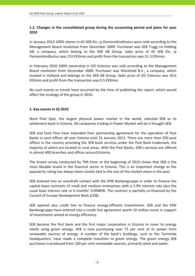# **1.2. Changes in the consolidated group during the accounting period and plans for year 2010**

In January 2010 100% shares in AS SEB Elu‐ ja Pensionikindlustus were sold according to the Management Board resolution from December 2009. Purchaser was SEB Trygg Liv Holding AB, a company, which belong to the SEB AB Group. Sales price of AS SEB Elu‐ ja Pensionikindlustus was 219 EEKmio and profit from the transaction was 51.3 EEKmio.

In February 2010 100% ownership in OÜ Estectus was sold according to the Management Board resolution from December 2009. Purchaser was Warehold B.V., a company, which located in Holland and belongs to the SEB AB Group. Sales price of OÜ Estectus was 50.6 EEKmio and profit from the transaction was 0.5 EEKmio.

No such events or trends have occurred by the time of publishing the report, which would affect the strategy of the group in 2010.

# **2. Key events in QI 2010**

Nord Pool Spot, the largest physical power market in the world, selected SEB as its settlement bank in Estonia. All companies trading in Power Market will do it thought SEB.

SEB and Eesti Post have extended their partnership agreement for the operation of Post Banks in post offices all over Estonia until 31 January 2013. There are more than 350 post offices in the country providing the SEB bank services under the Post Bank trademark, the majority of which are located in rural areas. With the Post Banks, SEB's services are offered in almost 400 branches and offices around Estonia.

The brand survey conducted by TNS Emor at the beginning of 2010 shows that SEB is the most likeable brand in the financial sector in Estonia. This is an important change as the popularity rating has always been closely tied to the size of the market share in the past.

SEB entered into an overdraft contact with the KfW Bankengruppe in order to finance the capital lease contracts of small and medium enterprises with a 2.9% interest rate plus the usual base interest rate or 6 months' EURIBOR. The contract is partially co‐financed by the Council of Europe Development Bank (CEB).

SEB opened also credit line to finance energy‐efficient investments. SEB and the KfW Bankengruppe have entered into a credit line agreement worth 10 million euros in support of investments aimed at energy efficiency.

SEB became the first bank and the first major corporation in Estonia to cover its energy needs using green energy. SEB is now purchasing over 75 per cent of its power from renewable sources of energy. A number of the bank's buildings, such as the Tornimäe headquarters, have made a complete transition to green energy. The green energy SEB purchases is produced from 100 per cent renewable sources, primarily wind and water.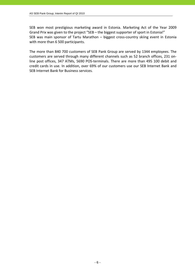SEB won most prestigious marketing award in Estonia. Marketing Act of the Year 2009 Grand Prix was given to the project "SEB – the biggest supporter of sport in Estonia!" SEB was main sponsor of Tartu Marathon – biggest cross-country skiing event in Estonia with more than 6 500 participants.

The more than 840 700 customers of SEB Pank Group are served by 1344 employees. The customers are served through many different channels such as 52 branch offices, 231 on‐ line post offices, 347 ATMs, 5690 POS‐terminals. There are more than 495 100 debit and credit cards in use. In addition, over 69% of our customers use our SEB Internet Bank and SEB Internet Bank for Business services.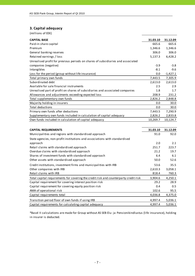# **3. Capital adequacy**

(millions of EEK)

| <b>CAPITAL BASE</b>                                                                  | 31.03.10 | 31.12.09   |
|--------------------------------------------------------------------------------------|----------|------------|
| Paid-in share capital                                                                | 665.6    | 665.6      |
| Premium                                                                              | 1,346.6  | 1,346.6    |
| General banking reserves                                                             | 306.0    | 306.0      |
| Retained earnings / loss                                                             | 5,137.3  | 6,428.2    |
| Unrealised profit for previous periods on shares of subsidiaries and associated      |          |            |
| companies (negative)                                                                 | $-3.9$   | $-3.8$     |
| Intangibles                                                                          | $-8.1$   | $-9.6$     |
| Loss for the period (group without life insurance)                                   | 0.0      | $-1,427.1$ |
| Total primary own funds                                                              | 7,443.5  | 7,305.9    |
| Subordinated debt                                                                    | 2,613.0  | 2,613.0    |
| Available for sale financial instruments                                             | 2.5      | 2.9        |
| Unrealised part of profit on shares of subsidiaries and associated companies         | 1.8      | 1.7        |
| Allowances and adjustments exceeding expected loss                                   | 208.9    | 231.2      |
| Total supplementary own funds                                                        | 2,826.2  | 2,848.8    |
| Majority holding in insurers                                                         | 0.0      | 30.0       |
| Total deductions                                                                     | 0.0      | 30.0       |
| Primary own funds after deductions                                                   | 7,443.5  | 7,290.9    |
| Supplementary own funds included in calculation of capital adequacy                  | 2,826.2  | 2,833.8    |
| Own funds included in calculation of capital adequacy                                | 10,269.7 | 10,124.7   |
|                                                                                      |          |            |
| <b>CAPITAL REQUIREMENTS</b>                                                          | 31.03.10 | 31.12.09   |
| Municipalities and regions with standardised approach                                | 91.0     | 92.0       |
| State agencies, non-profit institutions and associations with standardised           |          |            |
| approach                                                                             | 2.0      | 2.1        |
| Retail claims with standardised approach                                             | 251.7    | 223.7      |
| Overdue claims with standardised approach                                            | 21.2     | 19.7       |
| Shares of investment funds with standardised approach                                | 6.4      | 6.1        |
| Other assets with standardised approach                                              | 50.0     | 52.6       |
| Credit institutions, investment firms and municipalities with IRB                    | 53.6     | 35.5       |
| Other companies with IRB                                                             | 2,610.3  | 3,058.1    |
| Retail claims with IRB                                                               | 818.4    | 760.3      |
| Total capital requirements for covering the credit risk and counterparty credit risk | 3,904.6  | 4,250.1    |
| Capital requirement for covering interest position risk                              | 29.2     | 28.9       |
| Capital requirement for covering equity position risk                                | 0.4      | 0.5        |
| AMA of operational risk                                                              | 102.6    | 95.5       |
| Capital requirements total                                                           | 4,036.8  | 4,375.0    |
| Transition period floor of own funds if using IRB                                    | 4,997.4  | 5,036.1    |
| Capital requirements for calculating capital adequacy                                | 4,997.4  | 5,036.1    |

\*Basel II calculations are made for Group without AS SEB Elu‐ ja Pensionikindlustus (li fe insurance), holding in insurer is deducted.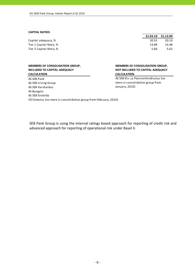#### **CAPITAL RATIOS**

|                         |       | 31.03.10 31.12.09 |
|-------------------------|-------|-------------------|
| Capital adequacy, %     | 20.55 | 20.10             |
| Tier 1 Capital Ratio, % | 14.89 | 14.48             |
| Tier 2 Capital Ratio, % | 5.66  | 5.62              |
|                         |       |                   |

#### **MEMBERS OF CONSOLIDATION GROUP, INCLUDED TO CAPITAL ADEQUACY CALCULATION**

# AS SEB Pank AS SEB Liising Group AS SEB Varahaldus AS Bangalo AS SEB Enskilda OÜ Estectus (no more in consolidation group from February, 2010)

#### **MEMBERS OF CONSOLIDATION GROUP, NOT INCLUDED TO CAPITAL ADEQUACY CALCULATION**

AS SEB Elu‐ ja Pensionikindlustus (no more in consolidation group from January, 2010)

SEB Pank Group is using the internal ratings based approach for reporting of credit risk and advanced approach for reporting of operational risk under Basel II.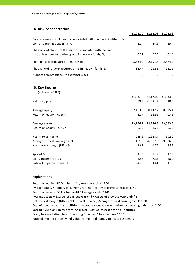# **4. Risk concentration**

|                                                                                                                         | 31.03.10 | 31.12.09 | 31.03.09 |
|-------------------------------------------------------------------------------------------------------------------------|----------|----------|----------|
| Total claims against persons associated with the credit institution's<br>consolidation group, EEK mio                   | 21.4     | 24.9     | 15.4     |
| The share of claims of the persons associated with the credit<br>institution's consolidation group in net own funds, %, | 0.21     | 0.25     | 0.14     |
| Total of large exposure claims, EEK mio                                                                                 | 3.334.9  | 2.191.7  | 2,374.2  |
| The share of large exposure claims in net own funds, %                                                                  | 32.47    | 21.65    | 21.72    |
| Number of large exposure customers, pcs                                                                                 | 3        |          |          |

#### **5. Key figures**

| (millions of EEK)               |          |            |          |
|---------------------------------|----------|------------|----------|
|                                 | 31.03.10 | 31.12.09   | 31.03.09 |
| Net loss / profit               | 59.3     | $-1,381.9$ | 10.0     |
| Average equity                  | 7,493.0  | 8,147.7    | 8,825.4  |
| Return on equity (ROE), %       | 3.17     | $-16.96$   | 0.45     |
| Average assets                  | 73,746.7 | 79,746.8   | 83,083.3 |
| Return on assets (ROA), %       | 0.32     | $-1.73$    | 0.05     |
| Net interest income             | 285.8    | 1,328.4    | 392.0    |
| Average interest earning assets | 71,161.9 | 76,362.3   | 79,526.0 |
| Net interest margin (NIM), %    | 1.61     | 1.74       | 1.97     |
| Spread, %                       | 1.46     | 1.48       | 1.58     |
| Cost / Income ratio, %          | 52.6     | 72.5       | 48.2     |
| Ratio of impaired loans, %      | 4.26     | 4.41       | 1.83     |

#### **Explanations**

Return on equity (ROE) = Net profit / Average equity \* 100 Average equity = (Equity of current year end + Equity of previous year end) / 2 Return on assets (ROA) = Net profit / Average assets \* 100 Average assets = (Assets of current year end + Assets of previous year end) / 2 Cost of interest bearing liabilities = Interest expenses / Average interest bearing liabilities \*100 Cost / Income Ratio = Total Operating Expenses / Total Income \* 100 Spread = Yield on interest earning assets ‐ Cost of interest bearing liabilities Ratio of impaired loans = Individually impaired loans / Loans to customers Net interest margin (NIM) = Net interest income / Average interest earning assets \* 100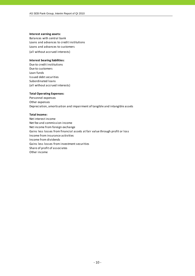#### **Interest earning assets:**

Balances with central bank Loans and advances to credit institutions (all without accrued interests) Loans and advances to customers

#### **Interest bearing liabilities:**

Due to credit institutions Due to customers Loan funds Issued debt securities Subordinated loans (all without accrued interests)

#### **Total Operating Expenses:**

Personnel expenses Other expenses Depreciation, amortisation and impairment of tangible and intangible assets

#### **Total Income:**

Net interest income Net fee and commission income Net income from foreign exchange Gains less losses from financial assets at fair value through profit or loss Income from insurance activities Income from dividends Gains less losses from investment securities Share of profit of associates Other income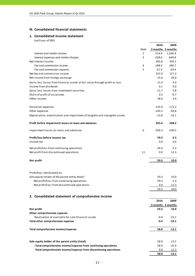## **III. Consolidated financial statements**

# **1. Consolidated income statement**

|                                                                              |                | 2010              | 2009              |
|------------------------------------------------------------------------------|----------------|-------------------|-------------------|
|                                                                              | Note           | 3 months 3 months |                   |
| Interest and similar income                                                  | $\overline{2}$ | 514.4             | 1,036.9           |
| Interest expenses and similar charges                                        | 3              | $-228.6$          | $-644.8$          |
| Net Interest Income                                                          |                | 285.8             | 392.1             |
| Fee and commission income                                                    | 4              | 198.4             | 186.7             |
| Fee and commission expense                                                   | 5              | $-51.4$           | $-59.4$           |
| Net fee and commission income                                                |                | 147.0             | 127.3             |
| Net income from foreign exchange                                             |                | 25.6              | 28.0              |
| Gains less losses from financial assets at fair value through profit or loss |                | 11.4              | 4.4               |
| Income from dividends                                                        |                | 0.1               |                   |
| Gains less losses from investment securities                                 |                |                   | 0.0<br>5.8        |
|                                                                              |                | 51.7              |                   |
| Share of profit of associates                                                |                | 0.3               | $-0.7$            |
| Other income                                                                 |                | 38.0              | 3.4               |
| Personnel expenses                                                           |                | $-135.0$          | $-172.2$          |
| Other expenses                                                               |                | $-145.5$          | $-83.8$           |
| Depreciation, amortisation and impairment of tangible and intangible assets  |                | $-13.8$           | $-16.1$           |
| Profit before impairment losses on loans and advances                        |                | 265.6             | 288.2             |
| Impairment losses on loans and advances                                      | 6              | $-206.3$          | $-290.5$          |
| Profit/loss before income tax                                                |                | 59.3              | $-2.3$            |
| Income tax                                                                   |                | 0.0               | 0.0               |
| Net profit/loss from continuing operations                                   |                | 59.3              | $-2.3$            |
| Net profit from discontinued operations                                      | 11             | 0.0               | 12.3              |
| Net profit                                                                   |                | 59.3              | 10.0              |
|                                                                              |                |                   |                   |
| Profit/loss attributable to:                                                 |                |                   |                   |
| Sole equity holder of the parent entity (total)                              |                | 59.3              | 10.0              |
| -Net profit/loss from continuing operations                                  |                | 59.3              | $-2.3$            |
| -Net profit/loss from discontinued operations                                |                | 0.0               | 12.3              |
|                                                                              |                | 59.3              | 10.0              |
| 2. Consolidated statement of comprehensive income                            |                |                   |                   |
|                                                                              |                | 2010              | 2009              |
|                                                                              |                |                   | 3 months 3 months |
| Net profit                                                                   |                | 59.3              | 10.0              |
| Other comprehensive expense                                                  |                |                   |                   |
| Revaluation of available-for-sale financial assets                           |                | $-0.4$            | $-23.1$           |
| Total other comprehensive expense                                            |                | $-0.4$            | $-23.1$           |
|                                                                              |                |                   |                   |
| Total comprehensive income/expense                                           |                | 58.9              | $-13.1$           |
|                                                                              |                |                   |                   |
| Sole equity holder of the parent entity (total)                              |                | 58.9              | $-13.1$           |
| -Total comprehensive income/expense from continuing operations               |                | 58.9              | $-25.4$           |
| -Total comprehensive income/expense from discontinuing operations            |                | 0.0               | 12.3              |
|                                                                              |                | 58.9              | $-13.1$           |
|                                                                              |                |                   |                   |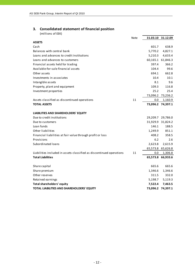# **3. Consolidated statement of financial position**

|                                                                      | <b>Note</b> |                   | 31.03.10 31.12.09 |
|----------------------------------------------------------------------|-------------|-------------------|-------------------|
| <b>ASSETS</b>                                                        |             |                   |                   |
| Cash                                                                 |             | 601.7             | 638.9             |
| Balances with central bank                                           |             | 5,770.2           | 4,827.1           |
| Loans and advances to credit institutions                            |             | 5,210.3           | 4,633.4           |
| Loans and advances to customers                                      |             |                   | 60,165.1 61,846.3 |
| Financial assets held for trading                                    |             | 397.4             | 366.2             |
| Available-for-sale financial assets                                  |             | 104.4             | 99.6              |
| Other assets                                                         |             | 694.1             | 662.8             |
| Investments in associates                                            |             | 10.4              | 10.1              |
| Intangible assets                                                    |             | 8.1               | 9.6               |
| Property, plant and equipment                                        |             | 109.3             | 116.8             |
| Investment properties                                                |             | 25.2              | 25.4              |
|                                                                      |             |                   | 73,096.2 73,236.2 |
| Assets classified as discontinued operations                         | 11          | 0.0               | 1,160.9           |
| <b>TOTAL ASSETS</b>                                                  |             |                   | 73,096.2 74,397.1 |
|                                                                      |             |                   |                   |
| <b>LIABILITIES AND SHAREHOLDERS' EQUITY</b>                          |             |                   |                   |
| Due to credit institutions                                           |             |                   | 29,209.7 29,786.0 |
| Due to customers                                                     |             |                   | 31,929.9 31,824.2 |
| Loan funds                                                           |             | 146.1             | 188.5             |
| Other liabilities                                                    |             | 1,249.9           | 851.1             |
| Financial liabilities at fair value through profit or loss           |             | 408.2             | 358.5             |
| Provisions                                                           |             | 6.2               | 2.6               |
| Subordinated loans                                                   |             | 2,623.8           | 2,615.9           |
|                                                                      |             | 65,573.8          | 65,626.8          |
| Liabilities included in assets classified as discontinued operations | 11          | 0.0               | 1,306.8           |
| <b>Total Liabilities</b>                                             |             |                   | 65,573.8 66,933.6 |
|                                                                      |             |                   |                   |
| Share capital                                                        |             | 665.6             | 665.6             |
| Share premium                                                        |             | 1,346.6           | 1,346.6           |
| Other reserves                                                       |             | 311.5             | 332.0             |
| Retained earnings                                                    |             | 5,198.7           | 5,119.3           |
| <b>Total shareholders' equity</b>                                    |             | 7,522.4           | 7,463.5           |
| TOTAL LIABILITIES AND SHAREHOLDERS' EQUITY                           |             | 73,096.2 74,397.1 |                   |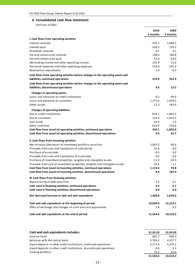# **4. Consolidated cash flow statement**

|                                                                                 | 2010     | 2009             |
|---------------------------------------------------------------------------------|----------|------------------|
|                                                                                 | 3 months | 3 months         |
| I. Cash flows from operating activities                                         |          |                  |
| Interest received                                                               | 505.1    | 1,084.5          |
| Interest paid                                                                   | $-230.3$ | $-729.5$         |
| Dividends received                                                              | 0.1      | 0.1              |
| Fee and commission received                                                     | 198.4    | 186.8            |
| Fee and commission paid                                                         | $-51.4$  | $-59.4$          |
| Net trading income and other operating income                                   | 232.9    | 21.6             |
| Personnel expenses and other operating expenses                                 | $-233.9$ | $-241.9$         |
| Revaluation adjustments                                                         | $-1.0$   | $-0.3$           |
| Cash flows from operating activities before changes in the operating assets and |          |                  |
| liabilities, continued operations                                               | 419.9    | 261.9            |
| Cash flows from operating activities before changes in the operating assets and |          |                  |
| liabilities, discontinued operations                                            | 0.0      | 12.5             |
|                                                                                 |          |                  |
| Changes in operating assets:                                                    |          |                  |
| Loans and advances to credit institutions                                       | $-0.3$   | $-69.9$          |
| Loans and advances to customers                                                 | 1,275.6  | 1,620.5          |
| Other assets                                                                    | 11.3     | 183.9            |
| <b>Changes of operating liabilities:</b>                                        |          |                  |
| Due to credit institutions                                                      | $-818.1$ | $-1,842.5$       |
| Due to customers                                                                | 123.0    | $-1,914.5$       |
| Loan funds                                                                      | $-42.4$  | $1.5\phantom{0}$ |
| Other liabilities                                                               | $-623.9$ | $-134.8$         |
| Cash flow from (used in) operating activities, continued operations             | 345.1    | $-1,893.9$       |
| Cash flow from (used in) operating activities, discontinued operations          | 0.0      | $-22.7$          |
| II. Cash flows from investing activities                                        |          |                  |
| Net increase-/decrease+ of investment portfolio securities                      | 1,043.5  | 96.4             |
| Proceeds from sale and liquidation of subsidaries                               | 51.8     | 0.0              |
| Purchase of associates                                                          | $-0.3$   | 0.0              |
| Proceeds from sale and liquidation of associates                                | 0.0      | 6.6              |
| Purchase of investment properties, tangible and intangible assets               | $-11.2$  | $-10.3$          |
| Proceeds from sale of investment properties, tangible and intangible assets     | 35.6     | 1.1              |
| Cash flow from (used in) investing activities, continued operations             | 1,119.4  | 93.8             |
| Cash flow from (used in) investing activities, discontinued operations          | 0.0      | 185.9            |
| III. Cash flows from financing activities                                       |          |                  |
| Repurchasing of debt securities                                                 | 4.3      | $-2.1$           |
| Cash used in financing activities, continued operations                         | 4.3      | $-2.1$           |
| Cash used in financing activities, discontinued operations                      | 0.0      | 0.0              |
| Net decrease/increase in cash and cash equivalents                              | 1,468.8  | $-1,639.0$       |
| Cash and cash equivalents at the beginning of period                            | 10,094.0 | 12,153.1         |
| Effect of exchange rate changes on cash and cash equivalents                    | 1.8      | 4.2              |
| Cash and cash equivalents at the end of period                                  | 11,564.6 | 10,518.3         |

| Cash and cash equivalents includes:                                   | 31.03.10 | 31.03.09 |
|-----------------------------------------------------------------------|----------|----------|
| Cash on hand                                                          | 601.7    | 604.3    |
| Balances with the central bank                                        | 5,769.2  | 4,527.7  |
| Liquid deposits in other credit institutions, continued operations    | 5.171.4  | 5,375.5  |
| Liquid deposits in other credit institutions, discontinued operations | 0.0      | 0.2      |
| Trading portfolio                                                     | 22.3     | 10.6     |
|                                                                       | 11.564.6 | 10.518.3 |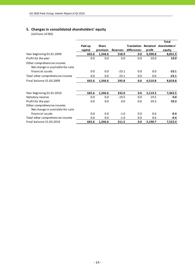# **5. Changes in consolidated shareholders' equity**

|                                                                 |         |         |                 |                    |          | <b>Total</b>  |
|-----------------------------------------------------------------|---------|---------|-----------------|--------------------|----------|---------------|
|                                                                 | Paid up | Share   |                 | <b>Translation</b> | Retained | shareholders' |
|                                                                 | capital | premium | <b>Reserves</b> | differences        | profit   | equity        |
| Year beginning 01.01.2009                                       | 665.6   | 1,346.6 | 318.9           | 0.0                | 6,500.8  | 8,831.9       |
| Profit for the year                                             | 0.0     | 0.0     | 0.0             | 0.0                | 10.0     | 10.0          |
| Other comprehensive income:<br>Net change in available-for-sale |         |         |                 |                    |          |               |
| financial assets                                                | 0.0     | 0.0     | $-23.1$         | 0.0                | 0.0      | $-23.1$       |
| Total other comprehensive income                                | 0.0     | 0.0     | $-23.1$         | 0.0                | 0.0      | $-23.1$       |
| Final balance 31.03.2009                                        | 665.6   | 1,346.6 | 295.8           | 0.0                | 6,510.8  | 8,818.8       |
|                                                                 |         |         |                 |                    |          |               |
| Year beginning 01.01.2010                                       | 665.6   | 1,346.6 | 332.0           | 0.0                | 5,119.3  | 7,463.5       |
| Statutory reserve                                               | 0.0     | 0.0     | $-19.5$         | 0.0                | 19.5     | 0.0           |
| Profit for the year                                             | 0.0     | 0.0     | 0.0             | 0.0                | 59.3     | 59.3          |
| Other comprehensive income:                                     |         |         |                 |                    |          |               |
| Net change in available-for-sale                                |         |         |                 |                    |          |               |
| financial assets                                                | 0.0     | 0.0     | $-1.0$          | 0.0                | 0.6      | -0.4          |
| Total other comprehensive income                                | 0.0     | 0.0     | $-1.0$          | 0.0                | 0.6      | -0.4          |
| Final balance 31.03.2010                                        | 665.6   | 1,346.6 | 311.5           | 0.0                | 5,198.7  | 7,522.4       |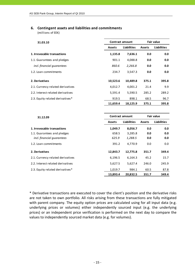# **6. Contingent assets and liabilities and commitments**

(millions of EEK)

| 31.03.10                          |               | <b>Contract amount</b> |               | <b>Fair value</b>  |  |
|-----------------------------------|---------------|------------------------|---------------|--------------------|--|
|                                   | <b>Assets</b> | <b>Liabilities</b>     | <b>Assets</b> | <b>Liabilities</b> |  |
| 1. Irrevocable transactions       | 1,135.8       | 7,636.1                | 0.0           | 0.0                |  |
| 1.1. Guarantees and pledges       | 901.1         | 4,088.8                | 0.0           | 0.0                |  |
| incl. financial guarantees        | 860.6         | 2,266.8                | 0.0           | 0.0                |  |
| 1.2. Loan commitments             | 234.7         | 3,547.3                | 0.0           | 0.0                |  |
| 2. Derivatives                    | 10,523.6      | 10,489.8               | 375.1         | 395.8              |  |
| 2.1. Currency related derivatives | 4,012.7       | 4,001.2                | 21.4          | 9.9                |  |
| 2.2. Interest related derivatives | 5,591.4       | 5,590.5                | 285.2         | 289.2              |  |
| 2.3. Equity related derivatives*  | 919.5         | 898.1                  | 68.5          | 96.7               |  |
|                                   | 11,659.4      | 18,125.9               | 375.1         | 395.8              |  |

| 31.12.09                          |               | Fair value<br><b>Contract amount</b> |               |                    |  |  |
|-----------------------------------|---------------|--------------------------------------|---------------|--------------------|--|--|
|                                   | <b>Assets</b> | <b>Liabilities</b>                   | <b>Assets</b> | <b>Liabilities</b> |  |  |
| 1. Irrevocable transactions       | 1,049.7       | 8,056.7                              | 0.0           | 0.0                |  |  |
| 1.1. Guarantees and pledges       | 658.5         | 3,285.8                              | 0.0           | 0.0                |  |  |
| incl. financial quarantees        | 625.9         | 1,288.5                              | 0.0           | 0.0                |  |  |
| 1.2. Loan commitments             | 391.2         | 4,770.9                              | 0.0           | 0.0                |  |  |
| 2. Derivatives                    | 12,843.7      | 12,775.8                             | 351.7         | 349.4              |  |  |
| 2.1. Currency related derivatives | 6,196.5       | 6,164.3                              | 45.2          | 15.7               |  |  |
| 2.2. Interest related derivatives | 5,627.5       | 5,627.4                              | 246.0         | 245.9              |  |  |
| 2.3. Equity related derivatives*  | 1,019.7       | 984.1                                | 60.5          | 87.8               |  |  |
|                                   | 13,893.4      | 20,832.5                             | 351.7         | 349.4              |  |  |

\* Derivative transactions are executed to cover the client's position and the derivative risks are not taken to own portfolio. All risks arising from these transactions are fully mitigated with parent company. The equity option prices are calculated using for all input data (e.g. underlying prices or volumes) either independently sourced input (e.g. the underlying prices) or an independent price verification is performed on the next day to compare the values to independently sourced market data (e.g. for volumes).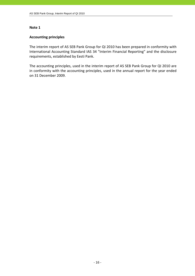# **Accounting principles**

The interim report of AS SEB Pank Group for QI 2010 has been prepared in conformity with International Accounting Standard IAS 34 "Interim Financial Reporting" and the disclosure requirements, established by Eesti Pank.

The accounting principles, used in the interim report of AS SEB Pank Group for QI 2010 are in conformity with the accounting principles, used in the annual report for the year ended on 31 December 2009.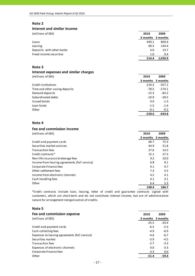#### **Interest and similar income**

| (millions of EEK)         | 2010              | 2009    |
|---------------------------|-------------------|---------|
|                           | 3 months 3 months |         |
| Loans                     | 449.1             | 869.4   |
| Leasing                   | 60.3              | 144.4   |
| Deposits with other banks | 4.0               | 13.7    |
| Fixed income securities   | 1.0               | 9.4     |
|                           | 514.4             | 1,036.9 |

#### **Note 3**

#### **Interest expenses and similar charges**

(millions of EEK) **2010 2009**

|                                | 3 months | 3 months |
|--------------------------------|----------|----------|
| Credit institutions            | $-124.3$ | $-357.1$ |
| Time and other saving deposits | $-78.5$  | $-174.1$ |
| Demand deposits                | $-13.3$  | $-82.2$  |
| Subordinated debts             | $-10.9$  | $-28.5$  |
| Issued bonds                   | 0.0      | $-1.3$   |
| Loan funds                     | $-1.5$   | $-1.4$   |
| Other                          | $-0.1$   | $-0.2$   |
|                                | $-228.6$ | $-644.8$ |

#### **Note 4**

# **Fee and commission income**

| (millions of EEK)                             | 2010     | 2009     |
|-----------------------------------------------|----------|----------|
|                                               | 3 months | 3 months |
| Credit and payment cards                      | 68.7     | 75.3     |
| Securities market services                    | 44.9     | 31.8     |
| <b>Transaction fees</b>                       | 27.6     | 14.5     |
| Credit contracts <sup>*</sup>                 | 15.1     | 27.3     |
| Non-life insurance brokerage fees             | 9.2      | 10.0     |
| Income from leasing agreements (full service) | 6.8      | 0.1      |
| Corporate Finance fees                        | 4.1      | 9.7      |
| Other settlement fees                         | 7.3      | 5.5      |
| Income from electronic channels               | 4.2      | 4.1      |
| Cash handling fees                            | 4.1      | 3.1      |
| Other                                         | 6.4      | 5.3      |
|                                               | 198.4    | 186.7    |

\*Credit contracts include loan, leasing, letter of credit and guarantee contracts signed with customers, which are short-term and do not constitute interest income, but are of administrative nature for arrangement reorganisation of credits.

#### **Note 5**

| Fee and commission expense                    | 2010     | 2009     |
|-----------------------------------------------|----------|----------|
| (millions of EEK)                             | 3 months | 3 months |
|                                               | $-25.5$  | $-29.4$  |
| Credit and payment cards                      | $-6.5$   | $-5.3$   |
| Cash collecting fees                          | $-4.9$   | $-6.9$   |
| Expenses to leasing agreements (full service) | $-4.6$   | $-6.7$   |
| Securities market                             | $-3.9$   | $-4.5$   |
| <b>Transaction fees</b>                       | $-2.7$   | $-3.3$   |
| Expenses of electronic channels               | 0.0      | $-3.3$   |
| Corporate Finance fees                        | $-3.3$   | 0.0      |
| Other                                         | $-51.4$  | $-59.4$  |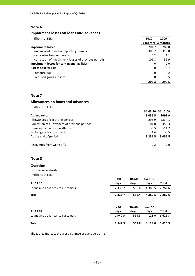#### **Impairment losses on loans and advances**

| (millions of EEK)                                   | 2010              | 2009     |
|-----------------------------------------------------|-------------------|----------|
|                                                     | 3 months 3 months |          |
| <b>Impairment losses</b>                            | $-201.7$          | $-280.8$ |
| impairment losses of reporting periods              | $-303.7$          | $-313.8$ |
| recoveries from write-offs                          | 0.2               | 1.1      |
| correction of impairment losses of previous periods | 101.8             | 31.9     |
| Impairment losses for contingent liabilities        | $-4.6$            | 0.0      |
| Assets held for sale                                | 0.0               | $-9.7$   |
| reappraisal                                         | 0.0               | $-9.2$   |
| realised gains / losses                             | 0.0               | $-0.5$   |
|                                                     | $-206.3$          | $-290.5$ |

# **Note 7**

#### **Allowances on loans and advances**

(millions of EEK)

| At January, 1                                | 3,056.5  | 1093.9   |
|----------------------------------------------|----------|----------|
| Allowances of reporting periods              | 295.9    | 2334.1   |
| Correction of allowances of previous periods | $-101.8$ | $-359.3$ |
| Loans and advances written off               | $-0.5$   | $-11.7$  |
| Exchange rate adjustments                    | 1.4      | $-0.5$   |
| At the end of period                         | 3,251.5  | 3,056.5  |
|                                              |          |          |
| Recoveries from write-offs                   | 0.2      | 2.0      |

**31.03.10 31.12.09**

# **Note 8**

# **Overdue**

# By overdue maturity (millions of EEK)

| 31.03.10                        | $30$<br>days | 30<60<br>days | over 60<br>days | Total        |
|---------------------------------|--------------|---------------|-----------------|--------------|
| Loans and advances to customers | 2,336.7      | 556.4         | 4,389.5         | 7,282.6      |
| <b>Total</b>                    | 2,336.7      | 556.4         | 4,389.5         | 7,282.6      |
|                                 |              |               |                 |              |
|                                 | $30$         | 30<60         | over 60         |              |
| 31.12.09                        | days         | days          | days            | <b>Total</b> |
| Loans and advances to customers | 1,942.5      | 554.8         | 4,128.0         | 6,625.3      |
| <b>Total</b>                    |              |               |                 |              |

The tables indicate the gross balance of overdue claims.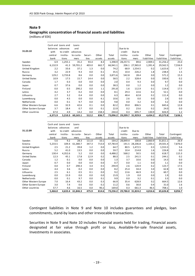# **Geographic concentration of financial assets and liabilities**

(millions of EEK)

|                      |          | Cash and Loans and | Loans     |         |        |          |           |          |             |             |             |
|----------------------|----------|--------------------|-----------|---------|--------|----------|-----------|----------|-------------|-------------|-------------|
|                      | balances | advances           | and       |         |        |          | Due to to |          |             |             |             |
| 31.03.10             | with     | to credit          | advances  |         |        |          | credit    | Due to   |             |             |             |
|                      | central  | institu-           | to custo- | Securi- | Other  | Total    | institu-  | custo-   | Other       | Total       | Contingent  |
|                      | bank     | tions              | mers      | ties    | assets | assets   | tions     | mers     | liabilities | liabilities | liabilities |
| Sweden               | 6.9      | 1,255.1            | 35.2      | 93.4    | 8.3    | 1,398.9  | 28,257.5  | 89.6     | 2,909.1     | 31,256.2    | 25.0        |
| Estonia              | 6,132.9  | 41.3               | 59,701.2  | 403.0   | 662.7  | 66,941.1 | 206.1     | 27,965.0 | 1,391.4     | 29,562.5    | 7,556.9     |
| United Kingdom       | 2.2      | 33.6               | 37.1      | 1.3     | 0.0    | 74.2     | 68.9      | 1,554.5  | 0.2         | 1,623.6     | 5.7         |
| Russia               | 3.2      | 22.9               | 9.3       | 0.0     | 0.1    | 35.5     | 10.4      | 226.2    | 1.8         | 238.4       | 1.5         |
| Germany              | 129.2    | 3,733.8            | 8.6       | 0.0     | 0.0    | 3,871.6  | 542.8     | 28.4     | 0.0         | 571.2       | 15.3        |
| United States        | 10.9     | 17.5               | 15.7      | 14.4    | 0.0    | 58.5     | 2.2       | 328.4    | 0.0         | 330.6       | 0.2         |
| Canada               | 1.7      | 0.3                | 0.0       | 0.0     | 0.0    | 2.0      | 0.4       | 9.3      | 0.0         | 9.7         | 0.0         |
| Japan                | 0.7      | 37.6               | 0.0       | 0.0     | 0.0    | 38.3     | 0.0       | 1.2      | 0.0         | 1.2         | 0.0         |
| Finland              | 0.0      | 0.5                | 290.2     | 0.0     | 1.1    | 291.8    | 1.6       | 112.9    | 0.1         | 114.6       | 17.5        |
| Latvia               | 4.2      | 3.7                | 0.2       | 0.0     | 0.0    | 8.1      | 29.3      | 22.6     | 0.2         | 52.1        | 0.0         |
| Lithuania            | 2.7      | 3.2                | 0.4       | 0.0     | 0.0    | 6.3      | 48.4      | 62.8     | 0.2         | 111.4       | 0.0         |
| Luxembourg           | 0.0      | 4.5                | 0.0       | 0.0     | 6.1    | 10.6     | 2.6       | 0.0      | 0.0         | 2.6         | 0.0         |
| Netherlands          | 0.0      | 0.1                | 9.7       | 0.0     | 0.0    | 9.8      | 0.0       | 3.2      | 0.0         | 3.2         | 0.0         |
| Other Western Europe | 6.6      | 32.9               | 42.6      | 0.1     | 0.0    | 82.2     | 39.0      | 806.5    | 0.1         | 845.6       | 12.8        |
| Other Eastern Europe | 3.7      | 18.4               | 0.7       | 0.0     | 0.1    | 22.9     | 0.2       | 23.6     | 0.2         | 24.0        | 0.0         |
| Other countries      | 67.0     | 4.9                | 14.2      | 0.0     | 158.3  | 244.4    | 0.3       | 695.7    | 130.9       | 826.9       | 1.2         |
|                      | 6,371.9  | 5,210.3            | 60,165.1  | 512.2   | 836.7  | 73,096.2 | 29,209.7  | 31,929.9 | 4,434.2     | 65,573.8    | 7,636.1     |

|                      |         | Cash and Loans and | Loans     |         |        |          |           |                   |             |             |             |
|----------------------|---------|--------------------|-----------|---------|--------|----------|-----------|-------------------|-------------|-------------|-------------|
|                      |         | balances advances  | and       |         |        |          | Due to to |                   |             |             |             |
| 31.12.09             | with    | to credit          | advances  |         |        |          | credit    | Due to            |             |             |             |
|                      | central | institu-           | to custo- | Securi- | Other  | Total    | institu-  | custo-            | Other       | Total       | Contingent  |
|                      | bank    | tions              | mers      | ties    | assets | assets   | tions     | mers              | liabilities | liabilities | liabilities |
| Sweden               | 5.6     | 9.2                | 28.3      | 111.0   | 10.1   | 164.2    | 28,849.4  | 100.8             | 2,860.9     | 31,811.1    | 26.9        |
| Estonia              | 5,233.5 | 109.4              | 61,380.7  | 347.3   | 713.0  | 67,783.9 | 191.5     | 28,206.8          | 1,103.1     | 29,501.4    | 7,876.0     |
| United Kingdom       | 2.5     | 21.2               | 39.8      | 1.2     | 0.0    | 64.7     | 80.5      | 1,472.5           | 0.3         | 1,553.3     | 5.6         |
| Russia               | 5.2     | 41.0               | 13.5      | 0.0     | 0.0    | 59.7     | 10.4      | 214.8             | 1.6         | 226.8       | 0.0         |
| Germany              | 130.4   | 4,352.6            | 5.2       | 0.0     | 0.0    | 4,488.2  | 568.2     | 50.5              | 0.0         | 618.7       | 115.3       |
| <b>United States</b> | 12.3    | 45.1               | 17.8      | 12.9    | 0.2    | 88.3     | 2.5       | 241.5             | 0.1         | 244.1       | 0.2         |
| Canada               | 1.2     | 0.1                | 0.0       | 0.0     | 0.0    | 1.3      | 3.7       | 10.6              | 0.0         | 14.3        | 0.0         |
| Japan                | 0.7     | 0.0                | 0.0       | 0.0     | 0.0    | 0.7      | 0.0       | 1.1               | 0.0         | 1.1         | 0.0         |
| Finland              | 0.0     | 0.7                | 290.3     | 3.4     | 0.5    | 294.9    | 2.6       | 120.9             | 0.2         | 123.7       | 17.5        |
| Latvia               | 4.4     | 3.6                | 0.2       | 0.0     | 0.0    | 8.2      | 25.4      | 34.4              | 3.0         | 62.8        | 0.0         |
| Lithuania            | 2.5     | 6.1                | 0.5       | 0.1     | 0.0    | 9.2      | 13.6      | 46.9              | 0.2         | 60.7        | 0.0         |
| Luxembourg           | 0.0     | 15.9               | 0.0       | 0.0     | 0.0    | 15.9     | 1.9       | 0.0               | 0.0         | 1.9         | 0.0         |
| Netherlands          | 0.0     | 0.1                | 9.7       | 0.0     | 0.1    | 9.9      | 0.0       | 3.2               | 0.1         | 3.3         | 0.0         |
| Other Western Europe | 7.0     | 16.4               | 43.2      | 0.0     | 0.3    | 66.9     | 35.4      | 628.9             | 0.2         | 664.5       | 12.6        |
| Other Eastern Europe | 3.0     | 7.4                | 0.6       | 0.0     | 0.2    | 11.2     | 0.6       | 30.0              | 0.4         | 31.0        | 1.6         |
| Other countries      | 57.7    | 4.6                | 16.5      | 0.0     | 90.2   | 169.0    | 0.3       | 661.3             | 46.5        | 708.1       | 1.0         |
|                      | 5,466.0 | 4,633.4            | 61,846.3  | 475.9   | 814.6  | 73,236.2 |           | 29,786.0 31,824.2 | 4,016.6     | 65,626.8    | 8,056.7     |

Contingent liabilities in Note 9 and Note 10 includes guarantees and pledges, loan commitments, stand‐by loans and other irrevocable transactions.

Securities in Note 9 and Note 10 includes Financial assets held for trading, Financial assets designated at fair value through profit or loss, Available‐for‐sale financial assets, Investments in associates.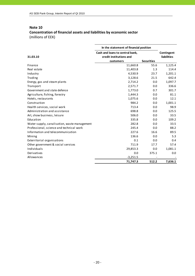# **Note 10 Concentration of financial assets and liabilities by economic sector** (millions of EEK)

|                                              | In the statement of financial position                     |                                  |         |
|----------------------------------------------|------------------------------------------------------------|----------------------------------|---------|
| 31.03.10                                     | Cash and loans to central bank,<br>credit institutions and | Contingent<br><b>liabilities</b> |         |
|                                              | customers                                                  | <b>Securities</b>                |         |
| Finance                                      | 11,660.8                                                   | 55.6                             | 1,125.4 |
| Real estate                                  | 11,403.8                                                   | 1.3                              | 114.4   |
| Industry                                     | 4,530.9                                                    | 23.7                             | 1,201.1 |
| Trading                                      | 3,128.6                                                    | 21.5                             | 642.4   |
| Energy, gas and steam plants                 | 2,714.2                                                    | 0.0                              | 1,097.7 |
| Transport                                    | 2,571.7                                                    | 0.0                              | 336.6   |
| Government and state defence                 | 1,773.0                                                    | 0.7                              | 301.7   |
| Agriculture, fishing, forestry               | 1,444.3                                                    | 0.0                              | 81.1    |
| Hotels, restaurants                          | 1,075.6                                                    | 0.0                              | 12.1    |
| Construction                                 | 984.2                                                      | 0.0                              | 1,001.1 |
| Health services, social work                 | 713.4                                                      | 0.0                              | 98.9    |
| Administration and assistance                | 698.8                                                      | 0.0                              | 125.5   |
| Art, show business, leisure                  | 506.0                                                      | 0.0                              | 33.5    |
| Education                                    | 335.8                                                      | 0.0                              | 109.2   |
| Water supply, canalisation, waste management | 282.8                                                      | 0.0                              | 33.5    |
| Professional, science and technical work     | 245.4                                                      | 0.0                              | 88.2    |
| Information and telecommunication            | 227.6                                                      | 16.6                             | 89.5    |
| Mining                                       | 136.6                                                      | 0.0                              | 5.3     |
| Exterritorial organisations                  | 0.1                                                        | 0.0                              | 0.4     |
| Other government & social services           | 711.9                                                      | 17.7                             | 57.4    |
| Individuals                                  | 29,853.3                                                   | 0.0                              | 1,081.1 |
| Derivatives                                  | 0.0                                                        | 375.1                            | 0.0     |
| Allowances                                   | $-3,251.5$                                                 |                                  |         |
|                                              | 71,747.3                                                   | 512.2                            | 7,636.1 |

#### - 20 -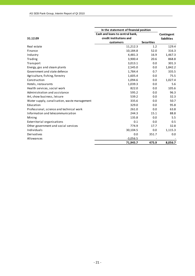|                                              | In the statement of financial position |                    |         |
|----------------------------------------------|----------------------------------------|--------------------|---------|
|                                              | Cash and loans to central bank,        | Contingent         |         |
| 31.12.09                                     | credit institutions and                | <b>liabilities</b> |         |
|                                              | customers                              | <b>Securities</b>  |         |
| Real estate                                  | 11,212.3                               | 1.2                | 129.4   |
| Finance                                      | 10,184.8                               | 52.0               | 316.3   |
| Industry                                     | 4,481.3                                | 16.9               | 1,467.3 |
| Trading                                      | 3,900.4                                | 20.6               | 868.8   |
| Transport                                    | 3,013.1                                | 0.0                | 301.3   |
| Energy, gas and steam plants                 | 2,545.0                                | 0.0                | 1,842.2 |
| Government and state defence                 | 1,784.4                                | 0.7                | 335.5   |
| Agriculture, fishing, forestry               | 1,605.4                                | 0.0                | 75.5    |
| Construction                                 | 1,094.6                                | 0.0                | 1,027.4 |
| Hotels, restaurants                          | 1,039.3                                | 0.0                | 5.6     |
| Health services, social work                 | 822.0                                  | 0.0                | 105.6   |
| Administration and assistance                | 595.2                                  | 0.0                | 96.3    |
| Art, show business, leisure                  | 539.2                                  | 0.0                | 32.3    |
| Water supply, canalisation, waste management | 335.6                                  | 0.0                | 50.7    |
| Education                                    | 329.0                                  | 0.0                | 95.8    |
| Professional, science and technical work     | 261.0                                  | 0.0                | 63.8    |
| Information and telecommunication            | 244.3                                  | 15.1               | 88.8    |
| Mining                                       | 135.8                                  | 0.0                | 5.5     |
| Exterritorial organisations                  | 0.1                                    | 0.0                | 0.5     |
| Other government and social services         | 774.9                                  | 17.7               | 32.8    |
| Individuals                                  | 30,104.5                               | 0.0                | 1,115.3 |
| Derivatives                                  | 0.0                                    | 351.7              | 0.0     |
| Allowances                                   | $-3,056.5$                             |                    |         |
|                                              | 71,945.7                               | 475.9              | 8,056.7 |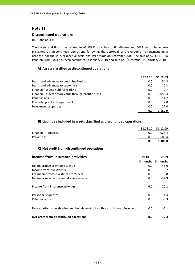#### **Discontinued operations**

#### (millions of EEK)

The assets and liabilities related to AS SEB Elu‐ ja Pensionikindlustus and OÜ Estectus have been presented as discontinued operations following the approval of the Group´s management on a proposal for the sale, respective decisions were made on December 2009. The sale of AS SEB Elu‐ ja Pensionikindlustus has been completed in January 2010 and sale of OÜ Estectus ‐ in February 2010.

### **A) Assets classified as discontinued operations**

|                                                       | 31.03.10 | 31.12.09 |
|-------------------------------------------------------|----------|----------|
| Loans and advances to credit institutions             | 0.0      | 54.8     |
| Loans and advances to customers                       | 0.0      | 2.3      |
| Financial assets held for trading                     | 0.0      | 9.7      |
| Financial assets at fair value through profit or loss | 0.0      | 1,050.4  |
| Other assets                                          | 0.0      | 14.7     |
| Property, plant and equipment                         | 0.0      | 2.0      |
| Investment properties                                 | 0.0      | 27.0     |
|                                                       | 0.0      | 1.160.9  |

#### **B) Liabilities included in assets classified as discontinued operations**

|                       | 31.03.10 | 31.12.09 |
|-----------------------|----------|----------|
| Financial liabilities | 0.0      | 626.4    |
| Provisions            | 0.0      | 680.4    |
|                       | 0.0      | 1,306.8  |

# **C) Net profit from discontinued operations**

| Income from insurance activities                                            | 2010     | 2009     |
|-----------------------------------------------------------------------------|----------|----------|
|                                                                             | 3 months | 3 months |
| Net insurance premium revenue                                               | 0.0      | 45.0     |
| Income from investments                                                     | 0.0      | 9.2      |
| Fee income from investment contracts                                        | 0.0      | 3.8      |
| Net insurance claims and disbursements                                      | 0.0      | $-37.9$  |
|                                                                             |          |          |
| Income from insurance activities                                            | 0.0      | 20.1     |
|                                                                             |          |          |
| Personnel expenses                                                          | 0.0      | $-4.4$   |
| Other expenses                                                              | 0.0      | $-3.3$   |
|                                                                             |          |          |
| Depreciation, amortisation and impairment of tangible and intangible assets | 0.0      | $-0.1$   |
|                                                                             |          |          |
| Net profit from discontinued operations                                     | 0.0      | 12.3     |